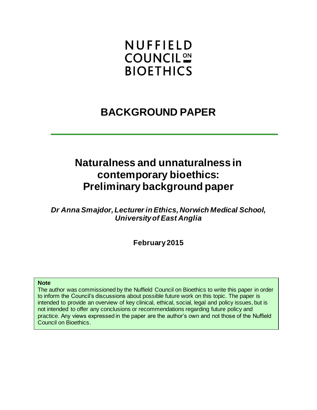# **NUFFIELD COUNCIL<sup>ON</sup> BIOETHICS**

## **BACKGROUND PAPER**

## **Naturalness and unnaturalness in contemporary bioethics: Preliminary background paper**

*Dr Anna Smajdor, Lecturer in Ethics, Norwich Medical School, University of East Anglia*

**February 2015**

#### **Note**

The author was commissioned by the Nuffield Council on Bioethics to write this paper in order to inform the Council's discussions about possible future work on this topic. The paper is intended to provide an overview of key clinical, ethical, social, legal and policy issues, but is not intended to offer any conclusions or recommendations regarding future policy and practice. Any views expressed in the paper are the author's own and not those of the Nuffield Council on Bioethics.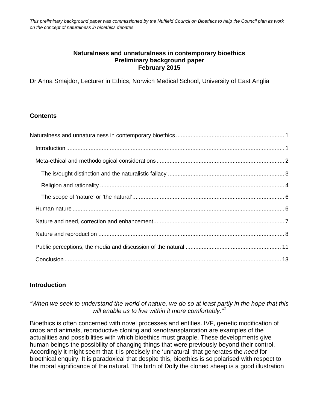<span id="page-1-0"></span>*This preliminary background paper was commissioned by the Nuffield Council on Bioethics to help the Council plan its work on the concept of naturalness in bioethics debates.* 

#### **Naturalness and unnaturalness in contemporary bioethics Preliminary background paper February 2015**

Dr Anna Smajdor, Lecturer in Ethics, Norwich Medical School, University of East Anglia

## **Contents**

## <span id="page-1-1"></span>**Introduction**

#### *"When we seek to understand the world of nature, we do so at least partly in the hope that this will enable us to live within it more comfortably."[1](#page-13-0)*

Bioethics is often concerned with novel processes and entities. IVF, genetic modification of crops and animals, reproductive cloning and xenotransplantation are examples of the actualities and possibilities with which bioethics must grapple. These developments give human beings the possibility of changing things that were previously beyond their control. Accordingly it might seem that it is precisely the 'unnatural' that generates the *need* for bioethical enquiry. It is paradoxical that despite this, bioethics is so polarised with respect to the moral significance of the natural. The birth of Dolly the cloned sheep is a good illustration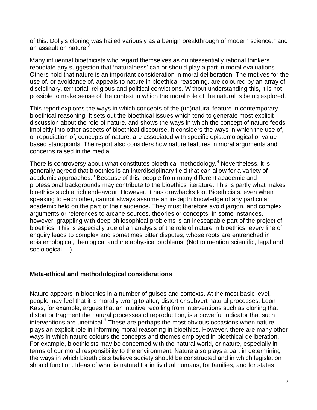<span id="page-2-1"></span>of this. Dolly's cloning was hailed variously as a benign breakthrough of modern science, $^2$  $^2$  and an assault on nature.

Many influential bioethicists who regard themselves as quintessentially rational thinkers repudiate any suggestion that 'naturalness' can or should play a part in moral evaluations. Others hold that nature is an important consideration in moral deliberation. The motives for the use of, or avoidance of, appeals to nature in bioethical reasoning, are coloured by an array of disciplinary, territorial, religious and political convictions. Without understanding this, it is not possible to make sense of the context in which the moral role of the natural is being explored.

This report explores the ways in which concepts of the (un)natural feature in contemporary bioethical reasoning. It sets out the bioethical issues which tend to generate most explicit discussion about the role of nature, and shows the ways in which the concept of nature feeds implicitly into other aspects of bioethical discourse. It considers the ways in which the use of, or repudiation of, concepts of nature, are associated with specific epistemological or valuebased standpoints. The report also considers how nature features in moral arguments and concerns raised in the media.

There is controversy about what constitutes bioethical methodology.<sup>[4](#page-13-3)</sup> Nevertheless, it is generally agreed that bioethics is an interdisciplinary field that can allow for a variety of academic approaches.<sup>[5](#page-14-0)</sup> Because of this, people from many different academic and professional backgrounds may contribute to the bioethics literature. This is partly what makes bioethics such a rich endeavour. However, it has drawbacks too. Bioethicists, even when speaking to each other, cannot always assume an in-depth knowledge of any particular academic field on the part of their audience. They must therefore avoid jargon, and complex arguments or references to arcane sources, theories or concepts. In some instances, however, grappling with deep philosophical problems is an inescapable part of the project of bioethics. This is especially true of an analysis of the role of nature in bioethics: every line of enquiry leads to complex and sometimes bitter disputes, whose roots are entrenched in epistemological, theological and metaphysical problems. (Not to mention scientific, legal and sociological…!)

## <span id="page-2-0"></span>**Meta-ethical and methodological considerations**

Nature appears in bioethics in a number of guises and contexts. At the most basic level, people may feel that it is morally wrong to alter, distort or subvert natural processes. Leon Kass, for example, argues that an intuitive recoiling from interventions such as cloning that distort or fragment the natural processes of reproduction, is a powerful indicator that such  $interventions$  are unethical. $3$  These are perhaps the most obvious occasions when nature plays an explicit role in informing moral reasoning in bioethics. However, there are many other ways in which nature colours the concepts and themes employed in bioethical deliberation. For example, bioethicists may be concerned with the natural world, or nature, especially in terms of our moral responsibility to the environment. Nature also plays a part in determining the ways in which bioethicists believe society should be constructed and in which legislation should function. Ideas of what is natural for individual humans, for families, and for states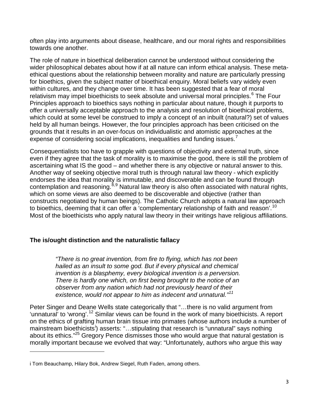often play into arguments about disease, healthcare, and our moral rights and responsibilities towards one another.

The role of nature in bioethical deliberation cannot be understood without considering the wider philosophical debates about how if at all nature can inform ethical analysis. These metaethical questions about the relationship between morality and nature are particularly pressing for bioethics, given the subject matter of bioethical enquiry. Moral beliefs vary widely even within cultures, and they change over time. It has been suggested that a fear of moral relativism may impel bioethicists to seek absolute and universal moral principles.<sup>[6](#page-14-1)</sup> The Four Principles approach to bioethics says nothing in particular about nature, though it purports to offer a universally acceptable approach to the analysis and resolution of bioethical problems, which could at some level be construed to imply a concept of an inbuilt (natural?) set of values held by all human beings. However, the four principles approach has been criticised on the grounds that it results in an over-focus on individualistic and atomistic approaches at the expense of considering social implications, inequalities and funding issues.<sup>[7](#page-14-2)</sup>

Consequentialists too have to grapple with questions of objectivity and external truth, since even if they agree that the task of morality is to maximise the good, there is still the problem of ascertaining what IS the good – and whether there is any objective or natural answer to this. Another way of seeking objective moral truth is through natural law theory - which explicitly endorses the idea that morality is immutable, and discoverable and can be found through contemplation and reasoning.<sup>[8](#page-14-3),[9](#page-14-4)</sup> Natural law theory is also often associated with natural rights, which on some views are also deemed to be discoverable and objective (rather than constructs negotiated by human beings). The Catholic Church adopts a natural law approach to bioethics, deeming that it can offer a 'complementary relationship of faith and reason'.<sup>[10](#page-14-5)</sup> Most of the bioethicists who apply natural law theory in their writings have religious affiliations.

## <span id="page-3-0"></span>**The is/ought distinction and the naturalistic fallacy**

*"There is no great invention, from fire to flying, which has not been hailed as an insult to some god. But if every physical and chemical invention is a blasphemy, every biological invention is a perversion. There is hardly one which, on first being brought to the notice of an observer from any nation which had not previously heard of their existence, would not appear to him as indecent and unnatural."[11](#page-14-6)*

Peter Singer and Deane Wells state categorically that "…there is no valid argument from 'unnatural' to 'wrong'.<sup>[12](#page-14-7)</sup> Similar views can be found in the work of many bioethicists. A report on the ethics of grafting human brain tissue into primates (whose authors include a number of ma[i](#page-3-1)nstream bioethicists<sup>i</sup>) asserts: "...stipulating that research is "unnatural" says nothing about its ethics."<sup>[25](#page-6-1)</sup> Gregory Pence dismisses those who would argue that natural gestation is morally important because we evolved that way: "Unfortunately, authors who argue this way

 $\overline{a}$ 

<span id="page-3-1"></span>i Tom Beauchamp, Hilary Bok, Andrew Siegel, Ruth Faden, among others.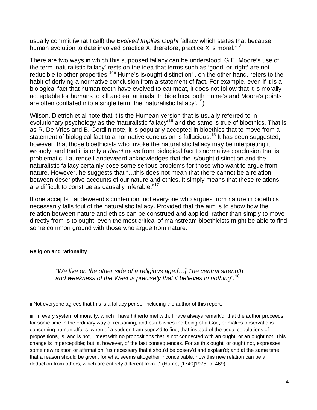usually commit (what I call) the *Evolved Implies Ought* fallacy which states that because human evolution to date involved practice X, therefore, practice X is moral."<sup>[13](#page-14-8)</sup>

There are two ways in which this supposed fallacy can be understood. G.E. Moore's use of the term 'naturalistic fallacy' rests on the idea that terms such as 'good' or 'right' are not reducible to other properties.<sup>[14](#page-14-9)[ii](#page-4-2)</sup> Hume's is/ought distinction<sup>iii</sup>, on the other hand, refers to the habit of deriving a normative conclusion from a statement of fact. For example, even if it is a biological fact that human teeth have evolved to eat meat, it does not follow that it is morally acceptable for humans to kill and eat animals. In bioethics, both Hume's and Moore's points are often conflated into a single term: the 'naturalistic fallacy'.<sup>[15](#page-14-10)</sup>)

<span id="page-4-1"></span>Wilson, Dietrich et al note that it is the Humean version that is usually referred to in evolutionary psychology as the 'naturalistic fallacy'<sup>[16](#page-14-11)</sup> and the same is true of bioethics. That is, statement of biological fact to a normative conclusion is fallacious.<sup>[15](#page-4-1)</sup> It has been suggested, as R. De Vries and B. Gordijn note, it is popularly accepted in bioethics that to move from a however, that those bioethicists who invoke the naturalistic fallacy may be interpreting it wrongly, and that it is only a *direct* move from biological fact to normative conclusion that is problematic. Laurence Landeweerd acknowledges that the is/ought distinction and the naturalistic fallacy certainly pose some serious problems for those who want to argue from nature. However, he suggests that "…this does not mean that there cannot be a relation between descriptive accounts of our nature and ethics. It simply means that these relations are difficult to construe as causally inferable."<sup>[17](#page-14-12)</sup>

If one accepts Landeweerd's contention, not everyone who argues from nature in bioethics necessarily falls foul of the naturalistic fallacy. Provided that the aim is to show how the relation between nature and ethics can be construed and applied, rather than simply to move directly from is to ought, even the most critical of mainstream bioethicists might be able to find some common ground with those who argue from nature.

#### <span id="page-4-0"></span>**Religion and rationality**

 $\overline{a}$ 

*"We live on the other side of a religious age.[…] The central strength and weakness of the West is precisely that it believes in nothing".*[18](#page-14-13)

<span id="page-4-2"></span>ii Not everyone agrees that this is a fallacy per se, including the author of this report.

<span id="page-4-3"></span>iii "In every system of morality, which I have hitherto met with, I have always remark'd, that the author proceeds for some time in the ordinary way of reasoning, and establishes the being of a God, or makes observations concerning human affairs: when of a sudden I am supriz'd to find, that instead of the usual copulations of propositions, is, and is not, I meet with no propositions that is not connected with an ought, or an ought not. This change is imperceptible; but is, however, of the last consequences. For as this ought, or ought not, expresses some new relation or affirmation, 'tis necessary that it shou'd be observ'd and explain'd; and at the same time that a reason should be given, for what seems altogether inconceivable, how this new relation can be a deduction from others, which are entirely different from it" (Hume, [1740]1978, p. 469)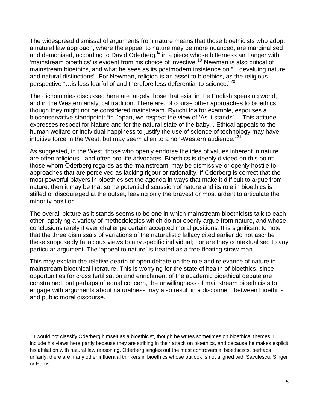The widespread dismissal of arguments from nature means that those bioethicists who adopt a natural law approach, where the appeal to nature may be more nuanced, are marginalised and demonised, according to David Oderberg,<sup>[iv](#page-5-1)</sup> in a piece whose bitterness and anger with 'mainstream bioethics' is evident from his choice of invective. [19](#page-14-14) Newman is also critical of mainstream bioethics, and what he sees as its postmodern insistence on "…devaluing nature and natural distinctions". For Newman, religion is an asset to bioethics, as the religious perspective "…is less fearful of and therefore less deferential to science."[20](#page-15-0)

The dichotomies discussed here are largely those that exist in the English speaking world, and in the Western analytical tradition. There are, of course other approaches to bioethics, though they might not be considered mainstream. Ryuchi Ida for example, espouses a bioconservative standpoint: "in Japan, we respect the view of 'As it stands' ... This attitude expresses respect for Nature and for the natural state of the baby... Ethical appeals to the human welfare or individual happiness to justify the use of science of technology may have intuitive force in the West, but may seem alien to a non-Western audience. $^{21}$  $^{21}$  $^{21}$ 

As suggested, in the West, those who openly endorse the idea of values inherent in nature are often religious - and often pro-life advocates. Bioethics is deeply divided on this point; those whom Oderberg regards as the 'mainstream' may be dismissive or openly hostile to approaches that are perceived as lacking rigour or rationality. If Oderberg is correct that the most powerful players in bioethics set the agenda in ways that make it difficult to argue from nature, then it may be that some potential discussion of nature and its role in bioethics is stifled or discouraged at the outset, leaving only the bravest or most ardent to articulate the minority position.

The overall picture as it stands seems to be one in which mainstream bioethicists talk to each other, applying a variety of methodologies which do not openly argue from nature, and whose conclusions rarely if ever challenge certain accepted moral positions. It is significant to note that the three dismissals of variations of the naturalistic fallacy cited earlier do not ascribe these supposedly fallacious views to any specific individual; nor are they contextualised to any particular argument. The 'appeal to nature' is treated as a free-floating straw man.

This may explain the relative dearth of open debate on the role and relevance of nature in mainstream bioethical literature. This is worrying for the state of health of bioethics, since opportunities for cross fertilisation and enrichment of the academic bioethical debate are constrained, but perhaps of equal concern, the unwillingness of mainstream bioethicists to engage with arguments about naturalness may also result in a disconnect between bioethics and public moral discourse.

<span id="page-5-0"></span> $\overline{a}$ 

<span id="page-5-1"></span>iv I would not classify Oderberg himself as a bioethicist, though he writes sometimes on bioethical themes. I include his views here partly because they are striking in their attack on bioethics, and because he makes explicit his affiliation with natural law reasoning. Oderberg singles out the most controversial bioethicists, perhaps unfairly; there are many other influential thinkers in bioethics whose outlook is not aligned with Savulescu, Singer or Harris.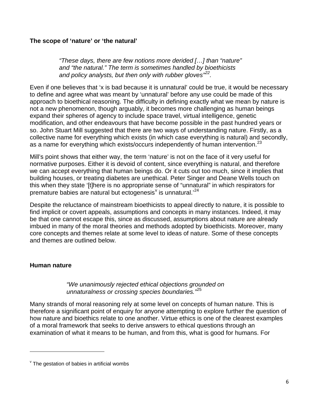## **The scope of 'nature' or 'the natural'**

*"These days, there are few notions more derided […] than "nature" and "the natural." The term is sometimes handled by bioethicists and policy analysts, but then only with rubber gloves"[22](#page-15-2) .*

Even if one believes that 'x is bad because it is unnatural' could be true, it would be necessary to define and agree what was meant by 'unnatural' before any use could be made of this approach to bioethical reasoning. The difficulty in defining exactly what we mean by nature is not a new phenomenon, though arguably, it becomes more challenging as human beings expand their spheres of agency to include space travel, virtual intelligence, genetic modification, and other endeavours that have become possible in the past hundred years or so. John Stuart Mill suggested that there are two ways of understanding nature. Firstly, as a collective name for everything which exists (in which case everything is natural) and secondly, as a name for everything which exists/occurs independently of human intervention.<sup>[23](#page-15-3)</sup>

Mill's point shows that either way, the term 'nature' is not on the face of it very useful for normative purposes. Either it is devoid of content, since everything is natural, and therefore we can accept everything that human beings do. Or it cuts out too much, since it implies that building houses, or treating diabetes are unethical. Peter Singer and Deane Wells touch on this when they state '[t]here is no appropriate sense of "unnatural" in which respirators for premature babies are natural but ectogenesis<sup> $v$ </sup> is unnatural.<sup>[24](#page-15-4)</sup>

Despite the reluctance of mainstream bioethicists to appeal directly to nature, it is possible to find implicit or covert appeals, assumptions and concepts in many instances. Indeed, it may be that one cannot escape this, since as discussed, assumptions about nature are already imbued in many of the moral theories and methods adopted by bioethicists. Moreover, many core concepts and themes relate at some level to ideas of nature. Some of these concepts and themes are outlined below.

## <span id="page-6-0"></span>**Human nature**

 $\overline{a}$ 

## <span id="page-6-1"></span>*"We unanimously rejected ethical objections grounded on unnaturalness or crossing species boundaries."*[25](#page-15-5)

Many strands of moral reasoning rely at some level on concepts of human nature. This is therefore a significant point of enquiry for anyone attempting to explore further the question of how nature and bioethics relate to one another. Virtue ethics is one of the clearest examples of a moral framework that seeks to derive answers to ethical questions through an examination of what it means to be human, and from this, what is good for humans. For

<span id="page-6-2"></span> $\mathrm{v}$  The gestation of babies in artificial wombs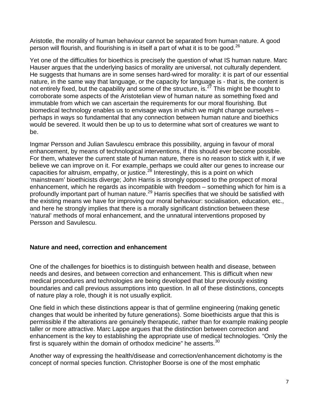Aristotle, the morality of human behaviour cannot be separated from human nature. A good person will flourish, and flourishing is in itself a part of what it is to be good.<sup>[26](#page-15-6)</sup>

Yet one of the difficulties for bioethics is precisely the question of what IS human nature. Marc Hauser argues that the underlying basics of morality are universal, not culturally dependent. He suggests that humans are in some senses hard-wired for morality: it is part of our essential nature, in the same way that language, or the capacity for language is - that is, the content is not entirely fixed, but the capability and some of the structure, is.<sup>[27](#page-15-7)</sup> This might be thought to corroborate some aspects of the Aristotelian view of human nature as something fixed and immutable from which we can ascertain the requirements for our moral flourishing. But biomedical technology enables us to envisage ways in which we might change ourselves – perhaps in ways so fundamental that any connection between human nature and bioethics would be severed. It would then be up to us to determine what sort of creatures we want to be.

Ingmar Persson and Julian Savulescu embrace this possibility, arguing in favour of moral enhancement, by means of technological interventions, if this should ever become possible. For them, whatever the current state of human nature, there is no reason to stick with it, if we believe we can improve on it. For example, perhaps we could alter our genes to increase our capacities for altruism, empathy, or justice.<sup>[28](#page-15-8)</sup> Interestingly, this is a point on which 'mainstream' bioethicists diverge; John Harris is strongly opposed to the prospect of moral enhancement, which he regards as incompatible with freedom – something which for him is a profoundly important part of human nature.<sup>[29](#page-15-9)</sup> Harris specifies that we should be satisfied with the existing means we have for improving our moral behaviour: socialisation, education, etc., and here he strongly implies that there is a morally significant distinction between these 'natural' methods of moral enhancement, and the unnatural interventions proposed by Persson and Savulescu.

## <span id="page-7-0"></span>**Nature and need, correction and enhancement**

One of the challenges for bioethics is to distinguish between health and disease, between needs and desires, and between correction and enhancement. This is difficult when new medical procedures and technologies are being developed that blur previously existing boundaries and call previous assumptions into question. In all of these distinctions, concepts of nature play a role, though it is not usually explicit.

One field in which these distinctions appear is that of germline engineering (making genetic changes that would be inherited by future generations). Some bioethicists argue that this is permissible if the alterations are genuinely therapeutic, rather than for example making people taller or more attractive. Marc Lappe argues that the distinction between correction and enhancement is the key to establishing the appropriate use of medical technologies. "Only the first is squarely within the domain of orthodox medicine" he asserts.  $30$ 

Another way of expressing the health/disease and correction/enhancement dichotomy is the concept of normal species function. Christopher Boorse is one of the most emphatic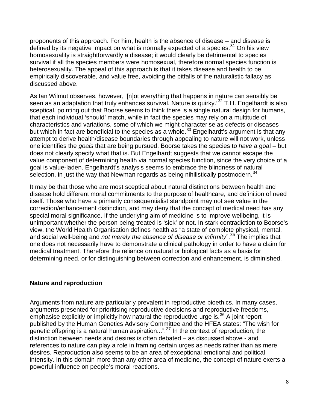proponents of this approach. For him, health is the absence of disease – and disease is defined by its negative impact on what is normally expected of a species. $31$  On his view homosexuality is straightforwardly a disease; it would clearly be detrimental to species survival if all the species members were homosexual, therefore normal species function is heterosexuality. The appeal of this approach is that it takes disease and health to be empirically discoverable, and value free, avoiding the pitfalls of the naturalistic fallacy as discussed above.

As Ian Wilmut observes, however, '[n]ot everything that happens in nature can sensibly be seen as an adaptation that truly enhances survival. Nature is quirky.'<sup>[32](#page-15-12)</sup> T.H. Engelhardt is also sceptical, pointing out that Boorse seems to think there is a single natural design for humans, that each individual 'should' match, while in fact the species may rely on a multitude of characteristics and variations, some of which we might characterise as defects or diseases but which in fact are beneficial to the species as a whole.<sup>[33](#page-15-13)</sup> Engelhardt's argument is that any attempt to derive health/disease boundaries through appealing to nature will not work, unless one identifies the *goals* that are being pursued. Boorse takes the species to *have* a goal – but does not clearly specify what that is. But Engelhardt suggests that we cannot escape the value component of determining health via normal species function, since the very choice of a goal is value-laden. Engelhardt's analysis seems to embrace the blindness of natural selection, in just the way that Newman regards as being nihilistically postmodern.  $34$ 

It may be that those who are most sceptical about natural distinctions between health and disease hold different moral commitments to the purpose of healthcare, and definition of need itself. Those who have a primarily consequentialist standpoint may not see value in the correction/enhancement distinction, and may deny that the concept of medical need has any special moral significance. If the underlying aim of medicine is to improve wellbeing, it is unimportant whether the person being treated is 'sick' or not. In stark contradiction to Boorse's view, the World Health Organisation defines health as "a state of complete physical, mental, and social well-being and *not merely the absence of disease or infirmity*".[35](#page-16-0) The implies that one does not necessarily have to demonstrate a clinical pathology in order to have a claim for medical treatment. Therefore the reliance on natural or biological facts as a basis for determining need, or for distinguishing between correction and enhancement, is diminished.

## <span id="page-8-0"></span>**Nature and reproduction**

Arguments from nature are particularly prevalent in reproductive bioethics. In many cases, arguments presented for prioritising reproductive decisions and reproductive freedoms, emphasise explicitly or implicitly how natural the reproductive urge is. $36$  A joint report published by the Human Genetics Advisory Committee and the HFEA states: "The wish for genetic offspring is a natural human aspiration...".<sup>[37](#page-16-2)</sup> In the context of reproduction, the distinction between needs and desires is often debated – as discussed above - and references to nature can play a role in framing certain urges as needs rather than as mere desires. Reproduction also seems to be an area of exceptional emotional and political intensity. In this domain more than any other area of medicine, the concept of nature exerts a powerful influence on people's moral reactions.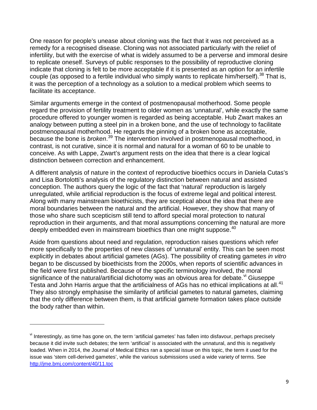One reason for people's unease about cloning was the fact that it was not perceived as a remedy for a recognised disease. Cloning was not associated particularly with the relief of infertility, but with the exercise of what is widely assumed to be a perverse and immoral desire to replicate oneself. Surveys of public responses to the possibility of reproductive cloning indicate that cloning is felt to be more acceptable if it is presented as an option for an infertile couple (as opposed to a fertile individual who simply wants to replicate him/herself).  $38$  That is, it was the perception of a technology as a solution to a medical problem which seems to facilitate its acceptance.

Similar arguments emerge in the context of postmenopausal motherhood. Some people regard the provision of fertility treatment to older women as 'unnatural', while exactly the same procedure offered to younger women is regarded as being acceptable. Hub Zwart makes an analogy between putting a steel pin in a broken bone, and the use of technology to facilitate postmenopausal motherhood. He regards the pinning of a broken bone as acceptable, because the bone is *broken*.<sup>[39](#page-16-4)</sup> The intervention involved in postmenopausal motherhood, in contrast, is not curative, since it is normal and natural for a woman of 60 to be unable to conceive. As with Lappe, Zwart's argument rests on the idea that there is a clear logical distinction between correction and enhancement.

A different analysis of nature in the context of reproductive bioethics occurs in Daniela Cutas's and Lisa Bortolotti's analysis of the regulatory distinction between natural and assisted conception. The authors query the logic of the fact that 'natural' reproduction is largely unregulated, while artificial reproduction is the focus of extreme legal and political interest. Along with many mainstream bioethicists, they are sceptical about the idea that there are moral boundaries between the natural and the artificial. However, they show that many of those who share such scepticism still tend to afford special moral protection to natural reproduction in their arguments, and that moral assumptions concerning the natural are more deeply embedded even in mainstream bioethics than one might suppose.<sup>[40](#page-16-5)</sup>

Aside from questions about need and regulation, reproduction raises questions which refer more specifically to the properties of new classes of 'unnatural' entity. This can be seen most explicitly in debates about artificial gametes (AGs). The possibility of creating gametes *in vitro* began to be discussed by bioethicists from the 2000s, when reports of scientific advances in the field were first published. Because of the specific terminology involved, the moral significance of the natural/artificial dichotomy was an ob[vi](#page-9-0)ous area for debate.  $\frac{v}{v}$  Giuseppe Testa and John Harris argue that the artificialness of AGs has no ethical implications at all.<sup>[41](#page-16-6)</sup> They also strongly emphasise the similarity of artificial gametes to natural gametes, claiming that the only difference between them, is that artificial gamete formation takes place outside the body rather than within.

 $\overline{a}$ 

<span id="page-9-0"></span>vi Interestingly, as time has gone on, the term 'artificial gametes' has fallen into disfavour, perhaps precisely because it did invite such debates; the term 'artificial' is associated with the unnatural, and this is negatively loaded. When in 2014, the Journal of Medical Ethics ran a special issue on this topic, the term it used for the issue was 'stem cell-derived gametes', while the various submissions used a wide variety of terms. See <http://jme.bmj.com/content/40/11.toc>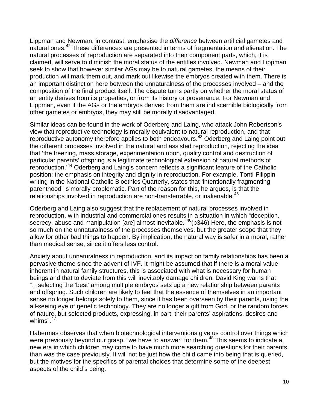Lippman and Newman, in contrast, emphasise the *difference* between artificial gametes and natural ones.<sup>[42](#page-16-7)</sup> These differences are presented in terms of fragmentation and alienation. The natural processes of reproduction are separated into their component parts, which, it is claimed, will serve to diminish the moral status of the entities involved. Newman and Lippman seek to show that however similar AGs may be to natural gametes, the means of their production will mark them out, and mark out likewise the embryos created with them. There is an important distinction here between the unnaturalness of the processes involved – and the composition of the final product itself. The dispute turns partly on whether the moral status of an entity derives from its properties, or from its history or provenance. For Newman and Lippman, even if the AGs or the embryos derived from them are indiscernible biologically from other gametes or embryos, they may still be morally disadvantaged.

Similar ideas can be found in the work of Oderberg and Laing, who attack John Robertson's view that reproductive technology is morally equivalent to natural reproduction, and that reproductive autonomy therefore applies to both endeavours.<sup>[43](#page-16-8)</sup> Oderberg and Laing point out the different processes involved in the natural and assisted reproduction, rejecting the idea that 'the freezing, mass storage, experimentation upon, quality control and destruction of particular parents' offspring is a legitimate technological extension of natural methods of reproduction.'[44](#page-16-9) Oderberg and Laing's concern reflects a significant feature of the Catholic position: the emphasis on integrity and dignity in reproduction. For example, Tonti-Filippini writing in the National Catholic Bioethics Quarterly, states that 'intentionally fragmenting parenthood' is morally problematic. Part of the reason for this, he argues, is that the relationships involved in reproduction are non-transferrable, or inalienable.<sup>[45](#page-16-10)</sup>

<span id="page-10-0"></span>Oderberg and Laing also suggest that the replacement of natural processes involved in reproduction, with industrial and commercial ones results in a situation in which "deception, secrecy, abuse and manipulation [are] almost inevitable."<sup>[46](#page-16-11)</sup>(p346) Here, the emphasis is not so much on the unnaturalness of the processes themselves, but the greater scope that they allow for other bad things to happen. By implication, the natural way is safer in a moral, rather than medical sense, since it offers less control.

Anxiety about unnaturalness in reproduction, and its impact on family relationships has been a pervasive theme since the advent of IVF. It might be assumed that if there is a moral value inherent in natural family structures, this is associated with what is necessary for human beings and that to deviate from this will inevitably damage children. David King warns that "…selecting the 'best' among multiple embryos sets up a new relationship between parents and offspring. Such children are likely to feel that the essence of themselves in an important sense no longer belongs solely to them, since it has been overseen by their parents, using the all-seeing eye of genetic technology. They are no longer a gift from God, or the random forces of nature, but selected products, expressing, in part, their parents' aspirations, desires and whims". [47](#page-16-12)

Habermas observes that when biotechnological interventions give us control over things which were previously beyond our grasp, "we have to answer" for them.<sup>[48](#page-16-13)</sup> This seems to indicate a new era in which children may come to have much more searching questions for their parents than was the case previously. It will not be just how the child came into being that is queried, but the motives for the specifics of parental choices that determine some of the deepest aspects of the child's being.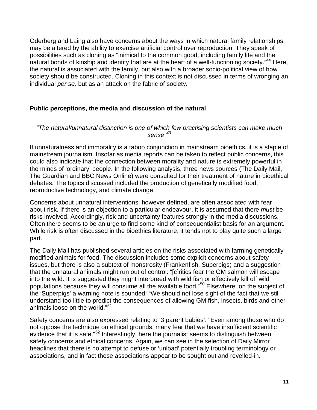Oderberg and Laing also have concerns about the ways in which natural family relationships may be altered by the ability to exercise artificial control over reproduction. They speak of possibilities such as cloning as "inimical to the common good, including family life and the natural bonds of kinship and identity that are at the heart of a well-functioning society."<sup>[44](#page-10-0)</sup> Here, the natural is associated with the family, but also with a broader socio-political view of how society should be constructed. Cloning in this context is not discussed in terms of wronging an individual *per se,* but as an attack on the fabric of society.

## <span id="page-11-0"></span>**Public perceptions, the media and discussion of the natural**

#### *"The natural/unnatural distinction is one of which few practising scientists can make much sense"[49](#page-17-0)*

If unnaturalness and immorality is a taboo conjunction in mainstream bioethics, it is a staple of mainstream journalism. Insofar as media reports can be taken to reflect public concerns, this could also indicate that the connection between morality and nature is extremely powerful in the minds of 'ordinary' people. In the following analysis, three news sources (The Daily Mail, The Guardian and BBC News Online) were consulted for their treatment of nature in bioethical debates. The topics discussed included the production of genetically modified food, reproductive technology, and climate change.

Concerns about unnatural interventions, however defined, are often associated with fear about risk. If there is an objection to a particular endeavour, it is assumed that there *must* be risks involved. Accordingly, risk and uncertainty features strongly in the media discussions. Often there seems to be an urge to find some kind of consequentialist basis for an argument. While risk is often discussed in the bioethics literature, it tends not to play quite such a large part.

The Daily Mail has published several articles on the risks associated with farming genetically modified animals for food. The discussion includes some explicit concerns about safety issues, but there is also a subtext of monstrosity (Frankenfish, Superpigs) and a suggestion that the unnatural animals might run out of control: "[c]ritics fear the GM salmon will escape into the wild. It is suggested they might interbreed with wild fish or effectively kill off wild populations because they will consume all the available food."[50](#page-17-1) Elsewhere, on the subject of the 'Superpigs' a warning note is sounded: "We should not lose sight of the fact that we still understand too little to predict the consequences of allowing GM fish, insects, birds and other animals loose on the world." [51](#page-17-2)

Safety concerns are also expressed relating to '3 parent babies'. "Even among those who do not oppose the technique on ethical grounds, many fear that we have insufficient scientific evidence that it is safe."<sup>[52](#page-17-3)</sup> Interestingly, here the journalist seems to distinguish between safety concerns and ethical concerns. Again, we can see in the selection of Daily Mirror headlines that there is no attempt to defuse or 'unload' potentially troubling terminology or associations, and in fact these associations appear to be sought out and revelled-in.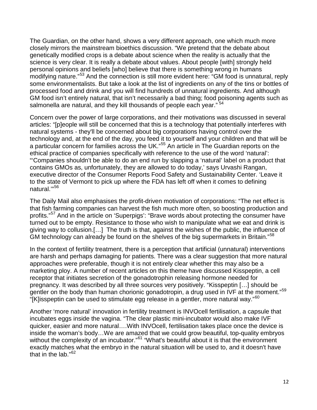The Guardian, on the other hand, shows a very different approach, one which much more closely mirrors the mainstream bioethics discussion. "We pretend that the debate about genetically modified crops is a debate about science when the reality is actually that the science is very clear. It is really a debate about values. About people [with] strongly held personal opinions and beliefs [who] believe that there is something wrong in humans modifying nature."<sup>[53](#page-17-4)</sup> And the connection is still more evident here: "GM food is unnatural, reply some environmentalists. But take a look at the list of ingredients on any of the tins or bottles of processed food and drink and you will find hundreds of unnatural ingredients. And although GM food isn't entirely natural, that isn't necessarily a bad thing; food poisoning agents such as salmonella are natural, and they kill thousands of people each vear."<sup>[54](#page-17-5)</sup>

Concern over the power of large corporations, and their motivations was discussed in several articles: "[p]eople will still be concerned that this is a technology that potentially interferes with natural systems - they'll be concerned about big corporations having control over the technology and, at the end of the day, you feed it to yourself and your children and that will be a particular concern for families across the UK."<sup>[55](#page-17-6)</sup> An article in The Guardian reports on the ethical practice of companies specifically with reference to the use of the word 'natural': "'Companies shouldn't be able to do an end run by slapping a 'natural' label on a product that contains GMOs as, unfortunately, they are allowed to do today,' says Urvashi Rangan, executive director of the Consumer Reports Food Safety and Sustainability Center. 'Leave it to the state of Vermont to pick up where the FDA has left off when it comes to defining natural.'"[56](#page-17-7)

The Daily Mail also emphasises the profit-driven motivation of corporations: "The net effect is that fish farming companies can harvest the fish much more often, so boosting production and profits."<sup>[57](#page-17-8)</sup> And in the article on 'Superpigs': "Brave words about protecting the consumer have turned out to be empty. Resistance to those who wish to manipulate what we eat and drink is giving way to collusion.[…] The truth is that, against the wishes of the public, the influence of GM technology can already be found on the shelves of the big supermarkets in Britain."<sup>[58](#page-17-9)</sup>

In the context of fertility treatment, there is a perception that artificial (unnatural) interventions are harsh and perhaps damaging for patients. There was a clear suggestion that more natural approaches were preferable, though it is not entirely clear whether this may also be a marketing ploy. A number of recent articles on this theme have discussed Kisspeptin, a cell receptor that initiates secretion of the gonadotrophin releasing hormone needed for pregnancy. It was described by all three sources very positively. "Kisspeptin […] should be gentler on the body than human chorionic gonadotropin, a drug used in IVF at the moment."<sup>[59](#page-18-0)</sup> "[K]isspeptin can be used to stimulate egg release in a gentler, more natural way." $60$ 

<span id="page-12-0"></span>Another 'more natural' innovation in fertility treatment is INVOcell fertilisation, a capsule that incubates eggs inside the vagina. "The clear plastic mini-incubator would also make IVF quicker, easier and more natural….With INVOcell, fertilisation takes place once the device is inside the woman's body…We are amazed that we could grow beautiful, top-quality embryos without the complexity of an incubator."<sup>[61](#page-18-2)</sup> "What's beautiful about it is that the environment exactly matches what the embryo in the natural situation will be used to, and it doesn't have that in the lab."<sup>[62](#page-18-3)</sup>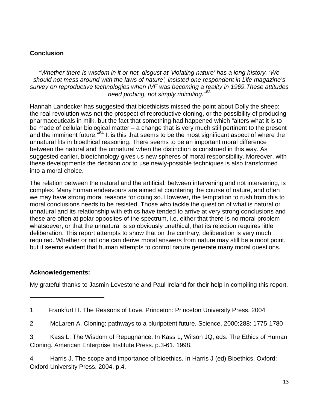## **Conclusion**

*"Whether there is wisdom in it or not, disgust at 'violating nature' has a long history. 'We should not mess around with the laws of nature', insisted one respondent in Life magazine's survey on reproductive technologies when IVF was becoming a reality in 1969.These attitudes need probing, not simply ridiculing.*" [63](#page-18-4)

Hannah Landecker has suggested that bioethicists missed the point about Dolly the sheep: the real revolution was not the prospect of reproductive cloning, or the possibility of producing pharmaceuticals in milk, but the fact that something had happened which "alters what it is to be made of cellular biological matter – a change that is very much still pertinent to the present and the imminent future."<sup>[64](#page-18-5)</sup> It is this that seems to be the most significant aspect of where the unnatural fits in bioethical reasoning. There seems to be an important moral difference between the natural and the unnatural when the distinction is construed in this way. As suggested earlier, bioetchnology gives us new spheres of moral responsibility. Moreover, with these developments the decision *not* to use newly-possible techniques is also transformed into a moral choice.

The relation between the natural and the artificial, between intervening and not intervening, is complex. Many human endeavours are aimed at countering the course of nature, and often we may have strong moral reasons for doing so. However, the temptation to rush from this to moral conclusions needs to be resisted. Those who tackle the question of what is natural or unnatural and its relationship with ethics have tended to arrive at very strong conclusions and these are often at polar opposites of the spectrum, i.e. either that there is no moral problem whatsoever, or that the unnatural is so obviously unethical, that its rejection requires little deliberation. This report attempts to show that on the contrary, deliberation is very much required. Whether or not one can derive moral answers from nature may still be a moot point, but it seems evident that human attempts to control nature generate many moral questions.

## **Acknowledgements:**

 $\overline{a}$ 

My grateful thanks to Jasmin Lovestone and Paul Ireland for their help in compiling this report.

<span id="page-13-0"></span><sup>1</sup> Frankfurt H. The Reasons of Love. Princeton: Princeton University Press. 2004

<span id="page-13-1"></span><sup>2</sup> McLaren A. Cloning: pathways to a pluripotent future. Science. 2000;288: 1775-1780

<span id="page-13-2"></span><sup>3</sup> Kass L. The Wisdom of Repugnance. In Kass L, Wilson JQ, eds. The Ethics of Human Cloning. American Enterprise Institute Press. p.3-61. 1998.

<span id="page-13-3"></span><sup>4</sup> Harris J. The scope and importance of bioethics. In Harris J (ed) Bioethics. Oxford: Oxford University Press. 2004. p.4.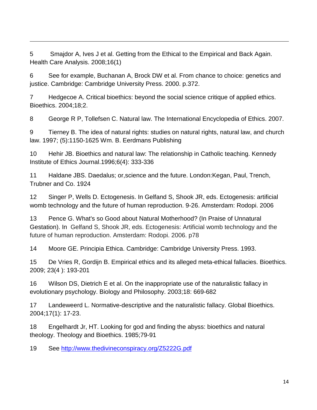<span id="page-14-0"></span>5 Smajdor A, Ives J et al. Getting from the Ethical to the Empirical and Back Again. Health Care Analysis. 2008;16(1)

 $\overline{a}$ 

<span id="page-14-1"></span>6 See for example, Buchanan A, Brock DW et al. From chance to choice: genetics and justice. Cambridge: Cambridge University Press. 2000. p.372.

<span id="page-14-2"></span>7 Hedgecoe A. Critical bioethics: beyond the social science critique of applied ethics. Bioethics. 2004;18;2.

<span id="page-14-3"></span>8 George R P, Tollefsen C. Natural law. The International Encyclopedia of Ethics. 2007.

<span id="page-14-4"></span>9 Tierney B. The idea of natural rights: studies on natural rights, natural law, and church law. 1997; (5):1150-1625 Wm. B. Eerdmans Publishing

<span id="page-14-5"></span>10 Hehir JB. Bioethics and natural law: The relationship in Catholic teaching. Kennedy Institute of Ethics Journal.1996;6(4): 333-336

<span id="page-14-6"></span>11 Haldane JBS. Daedalus; or,science and the future. London:Kegan, Paul, Trench, Trubner and Co. 1924

<span id="page-14-7"></span>12 Singer P, Wells D. Ectogenesis. In Gelfand S, Shook JR, eds. Ectogenesis: artificial womb technology and the future of human reproduction. 9-26. Amsterdam: Rodopi. 2006

<span id="page-14-8"></span>13 Pence G. What's so Good about Natural Motherhood? (In Praise of Unnatural Gestation). In Gelfand S, Shook JR, eds. Ectogenesis: Artificial womb technology and the future of human reproduction. Amsterdam: Rodopi. 2006. p78

<span id="page-14-9"></span>14 Moore GE. Principia Ethica. Cambridge: Cambridge University Press. 1993.

<span id="page-14-10"></span>15 De Vries R, Gordijn B. Empirical ethics and its alleged meta-ethical fallacies. Bioethics. 2009; 23(4 ): 193-201

<span id="page-14-11"></span>16 Wilson DS, Dietrich E et al. On the inappropriate use of the naturalistic fallacy in evolutionary psychology. Biology and Philosophy. 2003;18: 669-682

<span id="page-14-12"></span>17 Landeweerd L. Normative-descriptive and the naturalistic fallacy. Global Bioethics. 2004;17(1): 17-23.

<span id="page-14-13"></span>18 Engelhardt Jr, HT. Looking for god and finding the abyss: bioethics and natural theology. Theology and Bioethics. 1985;79-91

<span id="page-14-14"></span>19 See<http://www.thedivineconspiracy.org/Z5222G.pdf>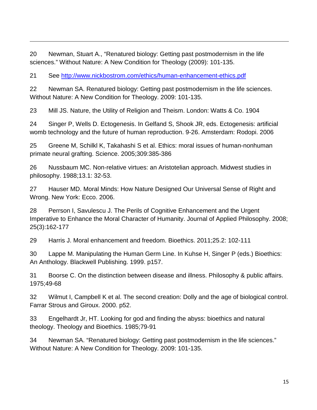<span id="page-15-0"></span>20 Newman, Stuart A., "Renatured biology: Getting past postmodernism in the life sciences." Without Nature: A New Condition for Theology (2009): 101-135.

<span id="page-15-1"></span>21 See<http://www.nickbostrom.com/ethics/human-enhancement-ethics.pdf>

 $\overline{a}$ 

<span id="page-15-2"></span>22 Newman SA. Renatured biology: Getting past postmodernism in the life sciences. Without Nature: A New Condition for Theology. 2009: 101-135.

<span id="page-15-3"></span>23 Mill JS. Nature, the Utility of Religion and Theism. London: Watts & Co. 1904

<span id="page-15-4"></span>24 Singer P, Wells D. Ectogenesis. In Gelfand S, Shook JR, eds. Ectogenesis: artificial womb technology and the future of human reproduction. 9-26. Amsterdam: Rodopi. 2006

<span id="page-15-5"></span>25 Greene M, Schilkl K, Takahashi S et al. Ethics: moral issues of human-nonhuman primate neural grafting. Science. 2005;309:385-386

<span id="page-15-6"></span>26 Nussbaum MC. Non-relative virtues: an Aristotelian approach. Midwest studies in philosophy. 1988;13.1: 32-53.

<span id="page-15-7"></span>27 Hauser MD. Moral Minds: How Nature Designed Our Universal Sense of Right and Wrong. New York: Ecco. 2006.

<span id="page-15-8"></span>28 Perrson I, Savulescu J. The Perils of Cognitive Enhancement and the Urgent Imperative to Enhance the Moral Character of Humanity. Journal of Applied Philosophy. 2008; 25(3):162-177

<span id="page-15-9"></span>29 Harris J. Moral enhancement and freedom. Bioethics. 2011;25.2: 102-111

<span id="page-15-10"></span>30 Lappe M. Manipulating the Human Germ Line. In Kuhse H, Singer P (eds.) Bioethics: An Anthology. Blackwell Publishing. 1999. p157.

<span id="page-15-11"></span>31 Boorse C. On the distinction between disease and illness. Philosophy & public affairs. 1975;49-68

<span id="page-15-12"></span>32 Wilmut I, Campbell K et al. The second creation: Dolly and the age of biological control. Farrar Strous and Giroux. 2000. p52.

<span id="page-15-13"></span>33 Engelhardt Jr, HT. Looking for god and finding the abyss: bioethics and natural theology. Theology and Bioethics. 1985;79-91

<span id="page-15-14"></span>34 Newman SA. "Renatured biology: Getting past postmodernism in the life sciences." Without Nature: A New Condition for Theology. 2009: 101-135.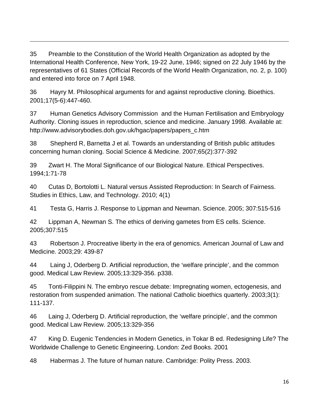<span id="page-16-0"></span>35 Preamble to the Constitution of the World Health Organization as adopted by the International Health Conference, New York, 19-22 June, 1946; signed on 22 July 1946 by the representatives of 61 States (Official Records of the World Health Organization, no. 2, p. 100) and entered into force on 7 April 1948.

 $\overline{a}$ 

<span id="page-16-1"></span>36 Hayry M. Philosophical arguments for and against reproductive cloning. Bioethics. 2001;17(5-6):447-460.

<span id="page-16-2"></span>37 Human Genetics Advisory Commission and the Human Fertilisation and Embryology Authority. Cloning issues in reproduction, science and medicine. January 1998. Available at: http://www.advisorybodies.doh.gov.uk/hgac/papers/papers\_c.htm

<span id="page-16-3"></span>38 Shepherd R, Barnetta J et al. Towards an understanding of British public attitudes concerning human cloning. Social Science & Medicine. 2007;65(2):377-392

<span id="page-16-4"></span>39 Zwart H. The Moral Significance of our Biological Nature. Ethical Perspectives. 1994;1:71-78

<span id="page-16-5"></span>40 Cutas D, Bortolotti L. Natural versus Assisted Reproduction: In Search of Fairness. Studies in Ethics, Law, and Technology. 2010; 4(1)

<span id="page-16-6"></span>41 Testa G, Harris J. Response to Lippman and Newman. Science. 2005; 307:515-516

<span id="page-16-7"></span>42 Lippman A, Newman S. The ethics of deriving gametes from ES cells. Science. 2005;307:515

<span id="page-16-8"></span>43 Robertson J. Procreative liberty in the era of genomics. American Journal of Law and Medicine. 2003;29: 439-87

<span id="page-16-9"></span>44 Laing J, Oderberg D. Artificial reproduction, the 'welfare principle', and the common good. Medical Law Review. 2005;13:329-356. p338.

<span id="page-16-10"></span>45 Tonti-Filippini N. The embryo rescue debate: Impregnating women, ectogenesis, and restoration from suspended animation. The national Catholic bioethics quarterly. 2003;3(1): 111-137.

<span id="page-16-11"></span>46 Laing J, Oderberg D. Artificial reproduction, the 'welfare principle', and the common good. Medical Law Review. 2005;13:329-356

<span id="page-16-12"></span>47 King D. Eugenic Tendencies in Modern Genetics, in Tokar B ed. Redesigning Life? The Worldwide Challenge to Genetic Engineering. London: Zed Books. 2001

<span id="page-16-13"></span>48 Habermas J. The future of human nature. Cambridge: Polity Press. 2003.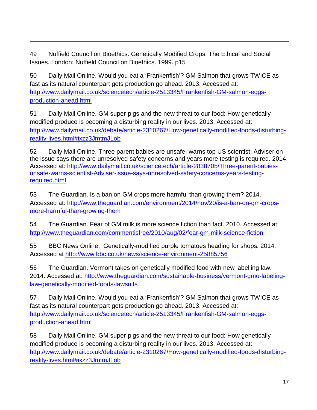<span id="page-17-0"></span>49 Nuffield Council on Bioethics. Genetically Modified Crops: The Ethical and Social Issues. London: Nuffield Council on Bioethics. 1999. p15

 $\overline{a}$ 

<span id="page-17-1"></span>50 Daily Mail Online. Would you eat a 'Frankenfish'? GM Salmon that grows TWICE as fast as its natural counterpart gets production go ahead. 2013. Accessed at: [http://www.dailymail.co.uk/sciencetech/article-2513345/Frankenfish-GM-salmon-eggs](http://www.dailymail.co.uk/sciencetech/article-2513345/Frankenfish-GM-salmon-eggs-production-ahead.html)[production-ahead.html](http://www.dailymail.co.uk/sciencetech/article-2513345/Frankenfish-GM-salmon-eggs-production-ahead.html)

<span id="page-17-2"></span>51 Daily Mail Online. GM super-pigs and the new threat to our food: How genetically modified produce is becoming a disturbing reality in our lives. 2013. Accessed at: [http://www.dailymail.co.uk/debate/article-2310267/How-genetically-modified-foods-disturbing](http://www.dailymail.co.uk/debate/article-2310267/How-genetically-modified-foods-disturbing-reality-lives.html#ixzz3JmtmJLob)[reality-lives.html#ixzz3JmtmJLob](http://www.dailymail.co.uk/debate/article-2310267/How-genetically-modified-foods-disturbing-reality-lives.html#ixzz3JmtmJLob)

<span id="page-17-3"></span>52 Daily Mail Online. Three parent babies are unsafe, warns top US scientist: Adviser on the issue says there are unresolved safety concerns and years more testing is required. 2014. Accessed at: [http://www.dailymail.co.uk/sciencetech/article-2838705/Three-parent-babies](http://www.dailymail.co.uk/sciencetech/article-2838705/Three-parent-babies-unsafe-warns-scientist-Adviser-issue-says-unresolved-safety-concerns-years-testing-required.html)[unsafe-warns-scientist-Adviser-issue-says-unresolved-safety-concerns-years-testing](http://www.dailymail.co.uk/sciencetech/article-2838705/Three-parent-babies-unsafe-warns-scientist-Adviser-issue-says-unresolved-safety-concerns-years-testing-required.html)[required.html](http://www.dailymail.co.uk/sciencetech/article-2838705/Three-parent-babies-unsafe-warns-scientist-Adviser-issue-says-unresolved-safety-concerns-years-testing-required.html)

<span id="page-17-4"></span>53 The Guardian. Is a ban on GM crops more harmful than growing them? 2014. Accessed at: [http://www.theguardian.com/environment/2014/nov/20/is-a-ban-on-gm-crops](http://www.theguardian.com/environment/2014/nov/20/is-a-ban-on-gm-crops-more-harmful-than-growing-them)[more-harmful-than-growing-them](http://www.theguardian.com/environment/2014/nov/20/is-a-ban-on-gm-crops-more-harmful-than-growing-them) 

<span id="page-17-5"></span>54 The Guardian. Fear of GM milk is more science fiction than fact. 2010. Accessed at: <http://www.theguardian.com/commentisfree/2010/aug/02/fear-gm-milk-science-fiction>

<span id="page-17-6"></span>55 BBC News Online. Genetically-modified purple tomatoes heading for shops. 2014. Accessed at<http://www.bbc.co.uk/news/science-environment-25885756>

<span id="page-17-7"></span>56 The Guardian. Vermont takes on genetically modified food with new labelling law. 2014. Accessed at: [http://www.theguardian.com/sustainable-business/vermont-gmo-labeling](http://www.theguardian.com/sustainable-business/vermont-gmo-labeling-law-genetically-modified-foods-lawsuits)[law-genetically-modified-foods-lawsuits](http://www.theguardian.com/sustainable-business/vermont-gmo-labeling-law-genetically-modified-foods-lawsuits)

<span id="page-17-8"></span>57 Daily Mail Online. Would you eat a 'Frankenfish'? GM Salmon that grows TWICE as fast as its natural counterpart gets production go ahead. 2013. Accessed at: [http://www.dailymail.co.uk/sciencetech/article-2513345/Frankenfish-GM-salmon-eggs](http://www.dailymail.co.uk/sciencetech/article-2513345/Frankenfish-GM-salmon-eggs-production-ahead.html)[production-ahead.html](http://www.dailymail.co.uk/sciencetech/article-2513345/Frankenfish-GM-salmon-eggs-production-ahead.html)

<span id="page-17-9"></span>58 Daily Mail Online. GM super-pigs and the new threat to our food: How genetically modified produce is becoming a disturbing reality in our lives. 2013. Accessed at: [http://www.dailymail.co.uk/debate/article-2310267/How-genetically-modified-foods-disturbing](http://www.dailymail.co.uk/debate/article-2310267/How-genetically-modified-foods-disturbing-reality-lives.html#ixzz3JmtmJLob)[reality-lives.html#ixzz3JmtmJLob](http://www.dailymail.co.uk/debate/article-2310267/How-genetically-modified-foods-disturbing-reality-lives.html#ixzz3JmtmJLob)